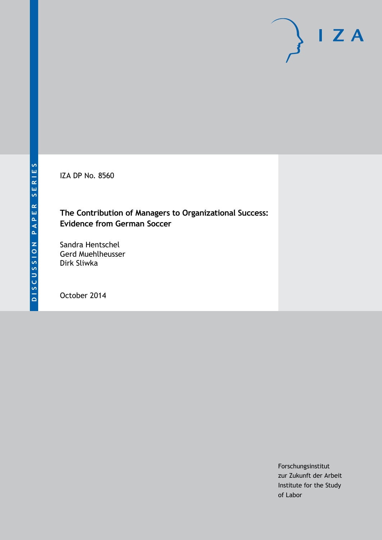IZA DP No. 8560

### **The Contribution of Managers to Organizational Success: Evidence from German Soccer**

Sandra Hentschel Gerd Muehlheusser Dirk Sliwka

October 2014

Forschungsinstitut zur Zukunft der Arbeit Institute for the Study of Labor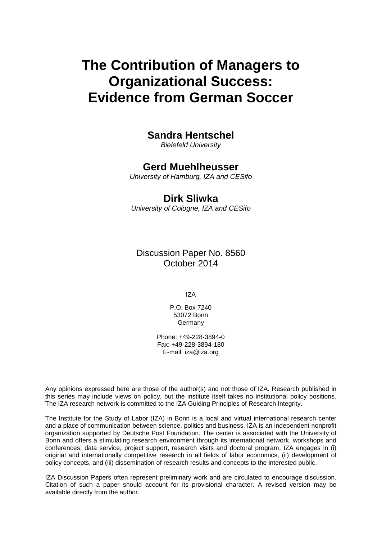# **The Contribution of Managers to Organizational Success: Evidence from German Soccer**

### **Sandra Hentschel**

*Bielefeld University*

### **Gerd Muehlheusser**

*University of Hamburg, IZA and CESifo*

### **Dirk Sliwka**

*University of Cologne, IZA and CESifo*

Discussion Paper No. 8560 October 2014

IZA

P.O. Box 7240 53072 Bonn **Germany** 

Phone: +49-228-3894-0 Fax: +49-228-3894-180 E-mail: [iza@iza.org](mailto:iza@iza.org)

Any opinions expressed here are those of the author(s) and not those of IZA. Research published in this series may include views on policy, but the institute itself takes no institutional policy positions. The IZA research network is committed to the IZA Guiding Principles of Research Integrity.

The Institute for the Study of Labor (IZA) in Bonn is a local and virtual international research center and a place of communication between science, politics and business. IZA is an independent nonprofit organization supported by Deutsche Post Foundation. The center is associated with the University of Bonn and offers a stimulating research environment through its international network, workshops and conferences, data service, project support, research visits and doctoral program. IZA engages in (i) original and internationally competitive research in all fields of labor economics, (ii) development of policy concepts, and (iii) dissemination of research results and concepts to the interested public.

<span id="page-1-0"></span>IZA Discussion Papers often represent preliminary work and are circulated to encourage discussion. Citation of such a paper should account for its provisional character. A revised version may be available directly from the author.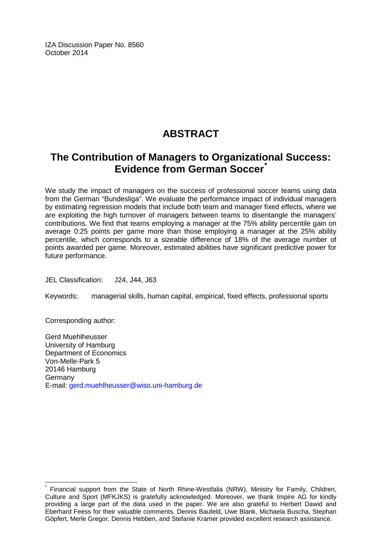IZA Discussion Paper No. 8560 October 2014

## **ABSTRACT**

## **The Contribution of Managers to Organizational Success: Evidence from German Soccer[\\*](#page-1-0)**

We study the impact of managers on the success of professional soccer teams using data from the German "Bundesliga". We evaluate the performance impact of individual managers by estimating regression models that include both team and manager fixed effects, where we are exploiting the high turnover of managers between teams to disentangle the managers' contributions. We find that teams employing a manager at the 75% ability percentile gain on average 0:25 points per game more than those employing a manager at the 25% ability percentile, which corresponds to a sizeable difference of 18% of the average number of points awarded per game. Moreover, estimated abilities have significant predictive power for future performance.

JEL Classification: J24, J44, J63

Keywords: managerial skills, human capital, empirical, fixed effects, professional sports

Corresponding author:

Gerd Muehlheusser University of Hamburg Department of Economics Von-Melle-Park 5 20146 Hamburg Germany E-mail: [gerd.muehlheusser@wiso.uni-hamburg.de](mailto:gerd.muehlheusser@wiso.uni-hamburg.de)

Financial support from the State of North Rhine-Westfalia (NRW), Ministry for Family, Children, Culture and Sport (MFKJKS) is gratefully acknowledged. Moreover, we thank Impire AG for kindly providing a large part of the data used in the paper. We are also grateful to Herbert Dawid and Eberhard Feess for their valuable comments. Dennis Baufeld, Uwe Blank, Michaela Buscha, Stephan Göpfert, Merle Gregor, Dennis Hebben, and Stefanie Kramer provided excellent research assistance.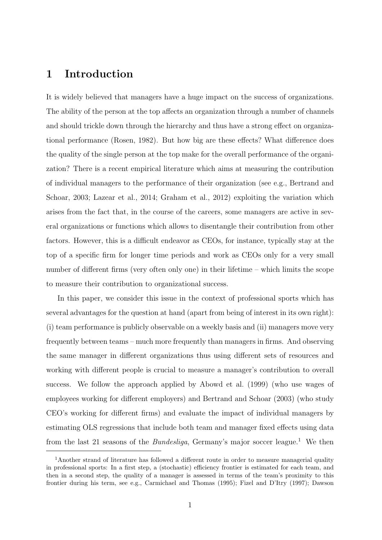### 1 Introduction

It is widely believed that managers have a huge impact on the success of organizations. The ability of the person at the top affects an organization through a number of channels and should trickle down through the hierarchy and thus have a strong effect on organizational performance (Rosen, 1982). But how big are these effects? What difference does the quality of the single person at the top make for the overall performance of the organization? There is a recent empirical literature which aims at measuring the contribution of individual managers to the performance of their organization (see e.g., Bertrand and Schoar, 2003; Lazear et al., 2014; Graham et al., 2012) exploiting the variation which arises from the fact that, in the course of the careers, some managers are active in several organizations or functions which allows to disentangle their contribution from other factors. However, this is a difficult endeavor as CEOs, for instance, typically stay at the top of a specific firm for longer time periods and work as CEOs only for a very small number of different firms (very often only one) in their lifetime – which limits the scope to measure their contribution to organizational success.

In this paper, we consider this issue in the context of professional sports which has several advantages for the question at hand (apart from being of interest in its own right): (i) team performance is publicly observable on a weekly basis and (ii) managers move very frequently between teams – much more frequently than managers in firms. And observing the same manager in different organizations thus using different sets of resources and working with different people is crucial to measure a manager's contribution to overall success. We follow the approach applied by Abowd et al. (1999) (who use wages of employees working for different employers) and Bertrand and Schoar (2003) (who study CEO's working for different firms) and evaluate the impact of individual managers by estimating OLS regressions that include both team and manager fixed effects using data from the last 21 seasons of the *Bundesliga*, Germany's major soccer league.<sup>1</sup> We then

 $1$ Another strand of literature has followed a different route in order to measure managerial quality in professional sports: In a first step, a (stochastic) efficiency frontier is estimated for each team, and then in a second step, the quality of a manager is assessed in terms of the team's proximity to this frontier during his term, see e.g., Carmichael and Thomas (1995); Fizel and D'Itry (1997); Dawson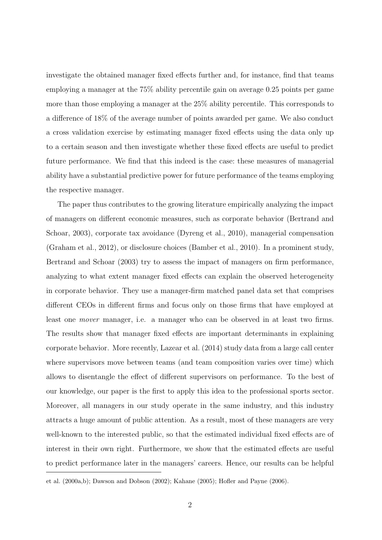investigate the obtained manager fixed effects further and, for instance, find that teams employing a manager at the 75% ability percentile gain on average 0.25 points per game more than those employing a manager at the 25% ability percentile. This corresponds to a difference of 18% of the average number of points awarded per game. We also conduct a cross validation exercise by estimating manager fixed effects using the data only up to a certain season and then investigate whether these fixed effects are useful to predict future performance. We find that this indeed is the case: these measures of managerial ability have a substantial predictive power for future performance of the teams employing the respective manager.

The paper thus contributes to the growing literature empirically analyzing the impact of managers on different economic measures, such as corporate behavior (Bertrand and Schoar, 2003), corporate tax avoidance (Dyreng et al., 2010), managerial compensation (Graham et al., 2012), or disclosure choices (Bamber et al., 2010). In a prominent study, Bertrand and Schoar (2003) try to assess the impact of managers on firm performance, analyzing to what extent manager fixed effects can explain the observed heterogeneity in corporate behavior. They use a manager-firm matched panel data set that comprises different CEOs in different firms and focus only on those firms that have employed at least one mover manager, i.e. a manager who can be observed in at least two firms. The results show that manager fixed effects are important determinants in explaining corporate behavior. More recently, Lazear et al. (2014) study data from a large call center where supervisors move between teams (and team composition varies over time) which allows to disentangle the effect of different supervisors on performance. To the best of our knowledge, our paper is the first to apply this idea to the professional sports sector. Moreover, all managers in our study operate in the same industry, and this industry attracts a huge amount of public attention. As a result, most of these managers are very well-known to the interested public, so that the estimated individual fixed effects are of interest in their own right. Furthermore, we show that the estimated effects are useful to predict performance later in the managers' careers. Hence, our results can be helpful

et al. (2000a,b); Dawson and Dobson (2002); Kahane (2005); Hofler and Payne (2006).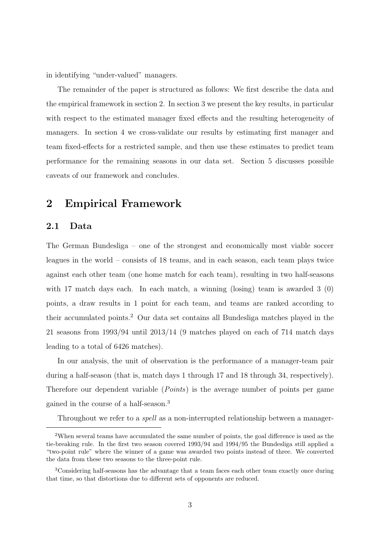in identifying "under-valued" managers.

The remainder of the paper is structured as follows: We first describe the data and the empirical framework in section 2. In section 3 we present the key results, in particular with respect to the estimated manager fixed effects and the resulting heterogeneity of managers. In section 4 we cross-validate our results by estimating first manager and team fixed-effects for a restricted sample, and then use these estimates to predict team performance for the remaining seasons in our data set. Section 5 discusses possible caveats of our framework and concludes.

### 2 Empirical Framework

#### 2.1 Data

The German Bundesliga – one of the strongest and economically most viable soccer leagues in the world – consists of 18 teams, and in each season, each team plays twice against each other team (one home match for each team), resulting in two half-seasons with 17 match days each. In each match, a winning (losing) team is awarded 3 (0) points, a draw results in 1 point for each team, and teams are ranked according to their accumulated points.<sup>2</sup> Our data set contains all Bundesliga matches played in the 21 seasons from 1993/94 until 2013/14 (9 matches played on each of 714 match days leading to a total of 6426 matches).

In our analysis, the unit of observation is the performance of a manager-team pair during a half-season (that is, match days 1 through 17 and 18 through 34, respectively). Therefore our dependent variable (*Points*) is the average number of points per game gained in the course of a half-season.<sup>3</sup>

Throughout we refer to a spell as a non-interrupted relationship between a manager-

<sup>2</sup>When several teams have accumulated the same number of points, the goal difference is used as the tie-breaking rule. In the first two season covered 1993/94 and 1994/95 the Bundesliga still applied a "two-point rule" where the winner of a game was awarded two points instead of three. We converted the data from these two seasons to the three-point rule.

<sup>3</sup>Considering half-seasons has the advantage that a team faces each other team exactly once during that time, so that distortions due to different sets of opponents are reduced.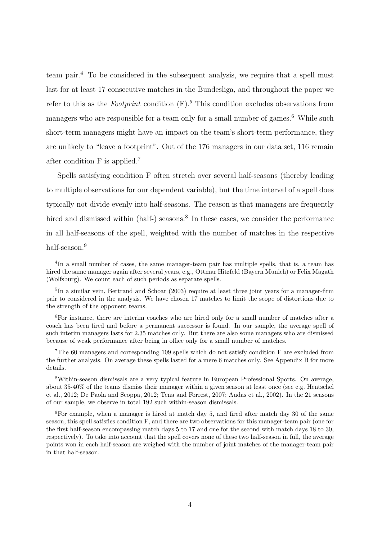team pair.<sup>4</sup> To be considered in the subsequent analysis, we require that a spell must last for at least 17 consecutive matches in the Bundesliga, and throughout the paper we refer to this as the *Footprint* condition  $(F)$ .<sup>5</sup> This condition excludes observations from managers who are responsible for a team only for a small number of games.<sup>6</sup> While such short-term managers might have an impact on the team's short-term performance, they are unlikely to "leave a footprint". Out of the 176 managers in our data set, 116 remain after condition F is applied.<sup>7</sup>

Spells satisfying condition F often stretch over several half-seasons (thereby leading to multiple observations for our dependent variable), but the time interval of a spell does typically not divide evenly into half-seasons. The reason is that managers are frequently hired and dismissed within (half-) seasons.<sup>8</sup> In these cases, we consider the performance in all half-seasons of the spell, weighted with the number of matches in the respective half-season.<sup>9</sup>

<sup>&</sup>lt;sup>4</sup>In a small number of cases, the same manager-team pair has multiple spells, that is, a team has hired the same manager again after several years, e.g., Ottmar Hitzfeld (Bayern Munich) or Felix Magath (Wolfsburg). We count each of such periods as separate spells.

<sup>&</sup>lt;sup>5</sup>In a similar vein, Bertrand and Schoar (2003) require at least three joint years for a manager-firm pair to considered in the analysis. We have chosen 17 matches to limit the scope of distortions due to the strength of the opponent teams.

<sup>&</sup>lt;sup>6</sup>For instance, there are interim coaches who are hired only for a small number of matches after a coach has been fired and before a permanent successor is found. In our sample, the average spell of such interim managers lasts for 2.35 matches only. But there are also some managers who are dismissed because of weak performance after being in office only for a small number of matches.

<sup>&</sup>lt;sup>7</sup>The 60 managers and corresponding 109 spells which do not satisfy condition F are excluded from the further analysis. On average these spells lasted for a mere 6 matches only. See Appendix B for more details.

<sup>8</sup>Within-season dismissals are a very typical feature in European Professional Sports. On average, about 35-40% of the teams dismiss their manager within a given season at least once (see e.g. Hentschel et al., 2012; De Paola and Scoppa, 2012; Tena and Forrest, 2007; Audas et al., 2002). In the 21 seasons of our sample, we observe in total 192 such within-season dismissals.

<sup>9</sup>For example, when a manager is hired at match day 5, and fired after match day 30 of the same season, this spell satisfies condition F, and there are two observations for this manager-team pair (one for the first half-season encompassing match days 5 to 17 and one for the second with match days 18 to 30, respectively). To take into account that the spell covers none of these two half-season in full, the average points won in each half-season are weighed with the number of joint matches of the manager-team pair in that half-season.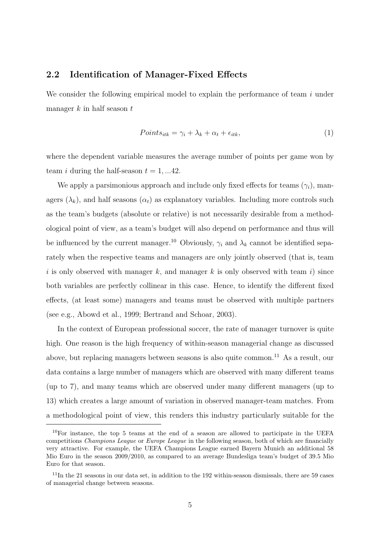#### 2.2 Identification of Manager-Fixed Effects

We consider the following empirical model to explain the performance of team  $i$  under manager  $k$  in half season  $t$ 

$$
Points_{itk} = \gamma_i + \lambda_k + \alpha_t + \epsilon_{itk}, \tag{1}
$$

where the dependent variable measures the average number of points per game won by team *i* during the half-season  $t = 1, \dots 42$ .

We apply a parsimonious approach and include only fixed effects for teams  $(\gamma_i)$ , managers  $(\lambda_k)$ , and half seasons  $(\alpha_t)$  as explanatory variables. Including more controls such as the team's budgets (absolute or relative) is not necessarily desirable from a methodological point of view, as a team's budget will also depend on performance and thus will be influenced by the current manager.<sup>10</sup> Obviously,  $\gamma_i$  and  $\lambda_k$  cannot be identified separately when the respective teams and managers are only jointly observed (that is, team i is only observed with manager k, and manager k is only observed with team i) since both variables are perfectly collinear in this case. Hence, to identify the different fixed effects, (at least some) managers and teams must be observed with multiple partners (see e.g., Abowd et al., 1999; Bertrand and Schoar, 2003).

In the context of European professional soccer, the rate of manager turnover is quite high. One reason is the high frequency of within-season managerial change as discussed above, but replacing managers between seasons is also quite common.<sup>11</sup> As a result, our data contains a large number of managers which are observed with many different teams (up to 7), and many teams which are observed under many different managers (up to 13) which creates a large amount of variation in observed manager-team matches. From a methodological point of view, this renders this industry particularly suitable for the

 $10$ For instance, the top 5 teams at the end of a season are allowed to participate in the UEFA competitions Champions League or Europe League in the following season, both of which are financially very attractive. For example, the UEFA Champions League earned Bayern Munich an additional 58 Mio Euro in the season 2009/2010, as compared to an average Bundesliga team's budget of 39.5 Mio Euro for that season.

<sup>11</sup>In the 21 seasons in our data set, in addition to the 192 within-season dismissals, there are 59 cases of managerial change between seasons.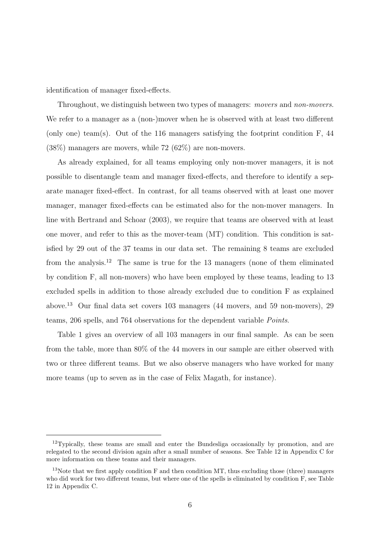identification of manager fixed-effects.

Throughout, we distinguish between two types of managers: movers and non-movers. We refer to a manager as a (non-)mover when he is observed with at least two different (only one) team(s). Out of the 116 managers satisfying the footprint condition F, 44 (38%) managers are movers, while 72 (62%) are non-movers.

As already explained, for all teams employing only non-mover managers, it is not possible to disentangle team and manager fixed-effects, and therefore to identify a separate manager fixed-effect. In contrast, for all teams observed with at least one mover manager, manager fixed-effects can be estimated also for the non-mover managers. In line with Bertrand and Schoar (2003), we require that teams are observed with at least one mover, and refer to this as the mover-team (MT) condition. This condition is satisfied by 29 out of the 37 teams in our data set. The remaining 8 teams are excluded from the analysis.<sup>12</sup> The same is true for the 13 managers (none of them eliminated by condition F, all non-movers) who have been employed by these teams, leading to 13 excluded spells in addition to those already excluded due to condition F as explained above.<sup>13</sup> Our final data set covers 103 managers (44 movers, and 59 non-movers), 29 teams, 206 spells, and 764 observations for the dependent variable Points.

Table 1 gives an overview of all 103 managers in our final sample. As can be seen from the table, more than 80% of the 44 movers in our sample are either observed with two or three different teams. But we also observe managers who have worked for many more teams (up to seven as in the case of Felix Magath, for instance).

 $12$ Typically, these teams are small and enter the Bundesliga occasionally by promotion, and are relegated to the second division again after a small number of seasons. See Table 12 in Appendix C for more information on these teams and their managers.

<sup>&</sup>lt;sup>13</sup>Note that we first apply condition  $F$  and then condition MT, thus excluding those (three) managers who did work for two different teams, but where one of the spells is eliminated by condition F, see Table 12 in Appendix C.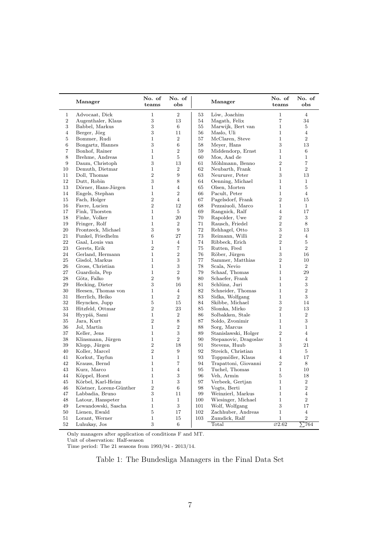|                | Manager                 | No. of<br>teams | No. of<br>obs    |     | Manager               | No. of<br>teams              | No. of<br>obs  |
|----------------|-------------------------|-----------------|------------------|-----|-----------------------|------------------------------|----------------|
| $\mathbf 1$    | Advocaat, Dick          | $\mathbf 1$     | $\overline{2}$   | 53  | Löw, Joachim          | $\mathbf{1}$                 | 4              |
| 2              | Augenthaler, Klaus      | 3               | 13               | 54  | Magath, Felix         | $\overline{7}$               | 34             |
| 3              | Babbel, Markus          | 3               | 6                | 55  | Marwijk, Bert van     | $\mathbf{1}$                 | 5              |
| $\overline{4}$ | Berger, Jörg            | 3               | 11               | 56  | Maslo, Uli            | $\mathbf{1}$                 | $\overline{4}$ |
| 5              | Bommer, Rudi            | $\mathbf 1$     | $\overline{2}$   | 57  | McClaren, Steve       | $\mathbf{1}$                 | $\overline{2}$ |
| 6              | Bongartz, Hannes        | 3               | 6                | 58  | Meyer, Hans           | 3                            | 13             |
| 7              | Bonhof, Rainer          | $\mathbf{1}$    | $\overline{2}$   | 59  | Middendorp, Ernst     | $\mathbf{1}$                 | $\,6$          |
| 8              | Brehme, Andreas         | $\mathbf{1}$    | 5                | 60  | Mos, Aad de           | $\mathbf{1}$                 | $\mathbf 1$    |
| 9              | Daum, Christoph         | 3               | 13               | 61  | Möhlmann, Benno       | $\overline{2}$               | $\overline{7}$ |
| 10             | Demuth, Dietmar         | $\mathbf{1}$    | $\overline{2}$   | 62  | Neubarth, Frank       | $\mathbf{1}$                 | $\overline{2}$ |
| 11             | Doll, Thomas            | $\,2$           | $\boldsymbol{9}$ | 63  | Neururer, Peter       | 3                            | 13             |
| 12             | Dutt, Robin             | 3               | 8                | 64  | Oenning, Michael      | $\mathbf{1}$                 | $\mathbf{1}$   |
| 13             | Dörner, Hans-Jürgen     | $\mathbf{1}$    | $\overline{4}$   | 65  | Olsen, Morten         | $\mathbf{1}$                 | 5              |
| 14             | Engels, Stephan         | $\mathbf{1}$    | $\overline{2}$   | 66  | Pacult, Peter         | $\mathbf{1}$                 | $\overline{4}$ |
| 15             | Fach, Holger            | $\overline{2}$  | $\overline{4}$   | 67  | Pagelsdorf, Frank     | $\overline{2}$               | 15             |
|                |                         | $\overline{2}$  | 12               |     |                       | $\mathbf{1}$                 | $\mathbf{1}$   |
| 16             | Favre, Lucien           |                 |                  | 68  | Pezzaiuoli, Marco     |                              |                |
| 17             | Fink, Thorsten          | $\mathbf{1}$    | 5                | 69  | Rangnick, Ralf        | $\overline{4}$               | 17             |
| 18             | Finke, Volker           | $\mathbf{1}$    | 20               | 70  | Rapolder, Uwe         | $\overline{2}$               | 3              |
| 19             | Fringer, Rolf           | $\mathbf{1}$    | $\overline{2}$   | 71  | Rausch, Friedel       | $\overline{2}$               | 8              |
| 20             | Frontzeck, Michael      | 3               | 9                | 72  | Rehhagel, Otto        | 3                            | 13             |
| 21             | Funkel, Friedhelm       | 6               | 27               | 73  | Reimann, Willi        | $\overline{2}$               | 4              |
| 22             | Gaal, Louis van         | $\mathbf{1}$    | 4                | 74  | Ribbeck, Erich        | $\overline{2}$               | 5              |
| 23             | Gerets, Erik            | $\overline{2}$  | 7                | 75  | Rutten, Fred          | $\mathbf{1}$                 | $\overline{2}$ |
| 24             | Gerland, Hermann        | $\mathbf{1}$    | $\overline{2}$   | 76  | Röber, Jürgen         | 3                            | 16             |
| 25             | Gisdol, Markus          | $\mathbf{1}$    | 3                | 77  | Sammer, Matthias      | $\overline{2}$               | 10             |
| 26             | Gross, Christian        | $\mathbf{1}$    | 3                | 78  | Scala, Nevio          | $\mathbf{1}$                 | $\overline{2}$ |
| 27             | Guardiola, Pep          | $\mathbf{1}$    | $\boldsymbol{2}$ | 79  | Schaaf, Thomas        | $\mathbf{1}$                 | 29             |
| 28             | Götz, Falko             | $\overline{2}$  | 9                | 80  | Schaefer, Frank       | $\mathbf{1}$                 | $\,2$          |
| 29             | Hecking, Dieter         | 3               | 16               | 81  | Schlünz, Juri         | $\mathbf{1}$                 | $\,3$          |
| 30             | Heesen, Thomas von      | $\mathbf{1}$    | $\overline{4}$   | 82  | Schneider, Thomas     | $\mathbf{1}$                 | $\,2$          |
| 31             | Herrlich, Heiko         | $\mathbf{1}$    | $\overline{2}$   | 83  | Sidka, Wolfgang       | $\mathbf{1}$                 | 3              |
| 32             | Heynckes, Jupp          | 5               | 15               | 84  | Skibbe, Michael       | 3                            | 14             |
| 33             | Hitzfeld, Ottmar        | $\overline{2}$  | 23               | 85  | Slomka, Mirko         | $\overline{2}$               | 13             |
| 34             | Hyypiä, Sami            | $\mathbf{1}$    | $\,2$            | 86  | Solbakken, Stale      | $\mathbf{1}$                 | $\overline{2}$ |
| 35             | Jara, Kurt              | $\overline{2}$  | $8\,$            | 87  | Soldo, Zvonimir       | $\mathbf{1}$                 | 3              |
| 36             | Jol, Martin             | $\mathbf{1}$    | $\,2$            | 88  | Sorg, Marcus          | $\mathbf{1}$                 | $\mathbf{1}$   |
| 37             | Keller, Jens            | $\mathbf{1}$    | 3                | 89  | Stanislawski, Holger  | $\overline{2}$               | $\overline{4}$ |
| 38             | Klinsmann, Jürgen       | $\mathbf{1}$    | $\overline{2}$   | 90  | Stepanovic, Dragoslav | $\mathbf{1}$                 | $\overline{4}$ |
| 39             | Klopp, Jürgen           | $\overline{2}$  | 18               | 91  | Stevens, Huub         | 3                            | 21             |
| 40             | Koller, Marcel          | $\overline{2}$  | 9                | 92  | Streich, Christian    | $\mathbf{1}$                 | 5              |
| 41             | Korkut, Tayfun          | $\mathbf{1}$    | $\mathbf{1}$     | 93  | Toppmöller, Klaus     | $\overline{4}$               | 17             |
| 42             | Krauss, Bernd           | $\mathbf{1}$    | 7                | 94  | Trapattoni, Giovanni  | $\overline{2}$               | $8\,$          |
| 43             | Kurz, Marco             | $\mathbf{1}$    | $\overline{4}$   | 95  | Tuchel, Thomas        | $\mathbf{1}$                 | $10\,$         |
| 44             | Köppel, Horst           | $\mathbf{1}$    | 3                | 96  | Veh, Armin            | 5                            | 18             |
| 45             | Körbel, Karl-Heinz      | $\mathbf{1}$    | $\,3$            | 97  | Verbeek, Gertjan      | $\mathbf{1}$                 | $\,2$          |
| 46             | Köstner, Lorenz-Günther | 2               | $\,6\,$          | 98  | Vogts, Berti          | $\mathbf{1}$                 | $\overline{2}$ |
| 47             | Labbadia, Bruno         | 3               | 11               | 99  | Weinzierl, Markus     | $\mathbf{1}$                 | 4              |
| 48             | Latour, Hanspeter       | $\mathbf{1}$    | $\mathbf{1}$     | 100 | Wiesinger, Michael    | $\mathbf{1}$                 | $\overline{2}$ |
| 49             | Lewandowski, Sascha     | $\mathbf{1}$    | $\mathbf{3}$     | 101 | Wolf, Wolfgang        | 3                            | 17             |
| 50             | Lienen, Ewald           | 5               | 17               | 102 | Zachhuber, Andreas    | $\mathbf{1}$                 | $\overline{4}$ |
| 51             | Lorant, Werner          | $\mathbf{1}$    | 15               | 103 | Zumdick, Ralf         | $\mathbf{1}$                 | $\,2$          |
| $52\,$         | Luhukay, Jos            | 3               | $\,6\,$          |     | Total                 | $\overline{\varnothing2.62}$ | 764            |
|                |                         |                 |                  |     |                       |                              | ≻              |

Only managers after application of conditions F and MT.

Unit of observation: Half-season

Time period: The 21 seasons from 1993/94 - 2013/14.

#### Table 1: The Bundesliga Managers in the Final Data Set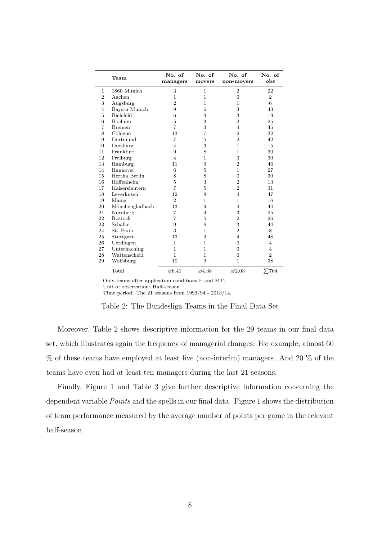|                | Team             | No. of<br>managers | No. of<br>movers | No. of<br>non-movers | No. of<br>obs  |
|----------------|------------------|--------------------|------------------|----------------------|----------------|
| $\mathbf{1}$   | 1860 Munich      | 3                  | $\mathbf 1$      | $\overline{2}$       | 22             |
| $\overline{2}$ | Aachen           | 1                  | $\mathbf{1}$     | $\overline{0}$       | $\overline{2}$ |
| 3              | Augsburg         | $\overline{2}$     | $\mathbf 1$      | 1                    | 6              |
| $\overline{4}$ | Bayern Munich    | 9                  | 6                | 3                    | 43             |
| 5              | <b>Bielefeld</b> | 6                  | 3                | 3                    | 19             |
| 6              | <b>Bochum</b>    | 5                  | 3                | $\overline{2}$       | 25             |
| 7              | <b>Bremen</b>    | $\overline{7}$     | 3                | $\overline{4}$       | 45             |
| 8              | Cologne          | 13                 | 7                | 6                    | 32             |
| 9              | Dortmund         | 7                  | $\overline{5}$   | $\overline{2}$       | 42             |
| 10             | Duisburg         | $\overline{4}$     | 3                | $\mathbf{1}$         | 15             |
| 11             | Frankfurt        | 9                  | 8                | $\mathbf{1}$         | 30             |
| 12             | Freiburg         | 4                  | $\mathbf 1$      | 3                    | 30             |
| 13             | Hamburg          | 11                 | 9                | $\overline{2}$       | 46             |
| 14             | Hannover         | 6                  | 5                | $\mathbf{1}$         | 27             |
| 15             | Hertha Berlin    | 8                  | 8                | $\overline{0}$       | 30             |
| 16             | Hoffenheim       | 5                  | 3                | $\overline{2}$       | 13             |
| 17             | Kaiserslautern   | $\overline{7}$     | 5                | $\overline{2}$       | 31             |
| 18             | Leverkusen       | 12                 | 8                | $\overline{4}$       | 47             |
| 19             | Mainz            | $\overline{2}$     | $\mathbf{1}$     | $\mathbf{1}$         | 16             |
| 20             | Mönchengladbach  | 13                 | 9                | $\overline{4}$       | 44             |
| 21             | Nürnberg         | 7                  | 4                | 3                    | 25             |
| 22             | Rostock          | $\overline{7}$     | 5                | $\overline{2}$       | 26             |
| 23             | Schalke          | 9                  | 6                | 3                    | 44             |
| 24             | St. Pauli        | 3                  | 1                | $\overline{2}$       | 8              |
| 25             | Stuttgart        | 13                 | 9                | $\overline{4}$       | 48             |
| 26             | Uerdingen        | $\mathbf{1}$       | 1                | $\Omega$             | 4              |
| 27             | Unterhaching     | $\mathbf{1}$       | $\mathbf{1}$     | $\overline{0}$       | $\overline{4}$ |
| 28             | Wattenscheid     | $\mathbf{1}$       | $\mathbf{1}$     | $\overline{0}$       | $\overline{2}$ |
| 29             | Wolfsburg        | 10                 | 9                | $\mathbf{1}$         | 38             |
|                | Total            | $\varnothing$ 6.41 | Ø4.38            | $\varnothing$ 2.03   | $\Sigma$ 764   |

Only teams after application conditions F and MT.

Unit of observation: Half-season.

Time period: The 21 seasons from 1993/94 - 2013/14.

Moreover, Table 2 shows descriptive information for the 29 teams in our final data set, which illustrates again the frequency of managerial changes: For example, almost 60 % of these teams have employed at least five (non-interim) managers. And 20 % of the teams have even had at least ten managers during the last 21 seasons.

Finally, Figure 1 and Table 3 give further descriptive information concerning the dependent variable *Points* and the spells in our final data. Figure 1 shows the distribution of team performance measured by the average number of points per game in the relevant half-season.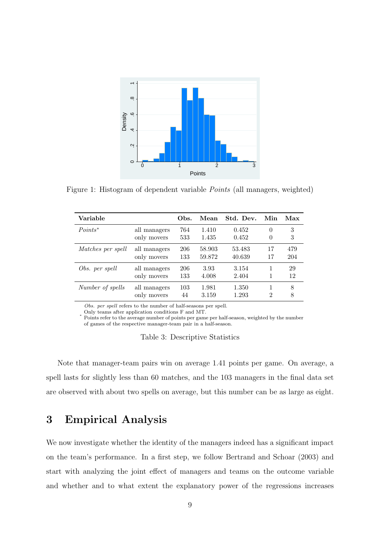

Figure 1: Histogram of dependent variable Points (all managers, weighted)

| Variable          |              | Obs. | Mean   | Std. Dev. | Min            | Max |
|-------------------|--------------|------|--------|-----------|----------------|-----|
| $Points^*$        | all managers | 764  | 1.410  | 0.452     | $\theta$       | 3   |
|                   | only movers  | 533  | 1.435  | 0.452     | 0              | 3   |
| Matches per spell | all managers | 206  | 58.903 | 53.483    | 17             | 479 |
|                   | only movers  | 133  | 59.872 | 40.639    | 17             | 204 |
| Obs. per spell    | all managers | 206  | 3.93   | 3.154     | 1              | 29  |
|                   | only movers  | 133  | 4.008  | 2.404     | 1              | 12  |
| Number of spells  | all managers | 103  | 1.981  | 1.350     | 1              | 8   |
|                   | only movers  | 44   | 3.159  | 1.293     | $\mathfrak{D}$ | 8   |

Obs. per spell refers to the number of half-seasons per spell.

Only teams after application conditions F and MT.

∗ Points refer to the average number of points per game per half-season, weighted by the number of games of the respective manager-team pair in a half-season.

Table 3: Descriptive Statistics

Note that manager-team pairs win on average 1.41 points per game. On average, a spell lasts for slightly less than 60 matches, and the 103 managers in the final data set are observed with about two spells on average, but this number can be as large as eight.

## 3 Empirical Analysis

We now investigate whether the identity of the managers indeed has a significant impact on the team's performance. In a first step, we follow Bertrand and Schoar (2003) and start with analyzing the joint effect of managers and teams on the outcome variable and whether and to what extent the explanatory power of the regressions increases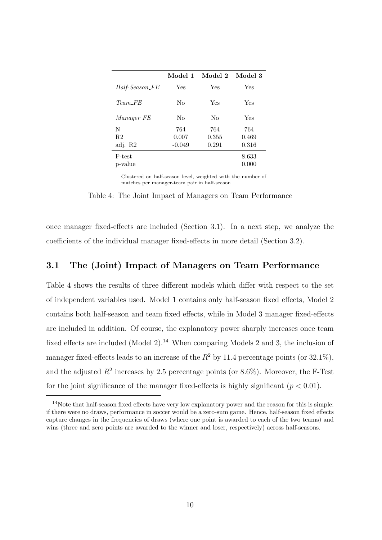|                   | Model 1  | Model 2 | Model 3 |
|-------------------|----------|---------|---------|
| Half-Season_FE    | Yes      | Yes     | Yes     |
| $Team\_FE$        | No       | Yes     | Yes     |
| <i>Manager_FE</i> | No       | No      | Yes     |
| N                 | 764      | 764     | 764     |
| R <sub>2</sub>    | 0.007    | 0.355   | 0.469   |
| adj. R2           | $-0.049$ | 0.291   | 0.316   |
| F-test            |          |         | 8.633   |
| p-value           |          |         | 0.000   |

Clustered on half-season level, weighted with the number of matches per manager-team pair in half-season

Table 4: The Joint Impact of Managers on Team Performance

once manager fixed-effects are included (Section 3.1). In a next step, we analyze the coefficients of the individual manager fixed-effects in more detail (Section 3.2).

#### 3.1 The (Joint) Impact of Managers on Team Performance

Table 4 shows the results of three different models which differ with respect to the set of independent variables used. Model 1 contains only half-season fixed effects, Model 2 contains both half-season and team fixed effects, while in Model 3 manager fixed-effects are included in addition. Of course, the explanatory power sharply increases once team fixed effects are included (Model 2).<sup>14</sup> When comparing Models 2 and 3, the inclusion of manager fixed-effects leads to an increase of the  $R^2$  by 11.4 percentage points (or 32.1%), and the adjusted  $R^2$  increases by 2.5 percentage points (or 8.6%). Moreover, the F-Test for the joint significance of the manager fixed-effects is highly significant  $(p < 0.01)$ .

 $14$ Note that half-season fixed effects have very low explanatory power and the reason for this is simple: if there were no draws, performance in soccer would be a zero-sum game. Hence, half-season fixed effects capture changes in the frequencies of draws (where one point is awarded to each of the two teams) and wins (three and zero points are awarded to the winner and loser, respectively) across half-seasons.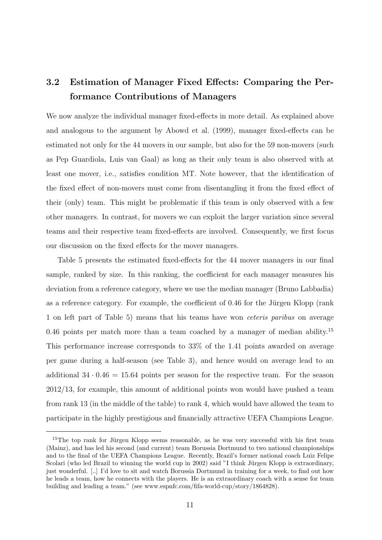## 3.2 Estimation of Manager Fixed Effects: Comparing the Performance Contributions of Managers

We now analyze the individual manager fixed-effects in more detail. As explained above and analogous to the argument by Abowd et al. (1999), manager fixed-effects can be estimated not only for the 44 movers in our sample, but also for the 59 non-movers (such as Pep Guardiola, Luis van Gaal) as long as their only team is also observed with at least one mover, i.e., satisfies condition MT. Note however, that the identification of the fixed effect of non-movers must come from disentangling it from the fixed effect of their (only) team. This might be problematic if this team is only observed with a few other managers. In contrast, for movers we can exploit the larger variation since several teams and their respective team fixed-effects are involved. Consequently, we first focus our discussion on the fixed effects for the mover managers.

Table 5 presents the estimated fixed-effects for the 44 mover managers in our final sample, ranked by size. In this ranking, the coefficient for each manager measures his deviation from a reference category, where we use the median manager (Bruno Labbadia) as a reference category. For example, the coefficient of  $0.46$  for the Jürgen Klopp (rank 1 on left part of Table 5) means that his teams have won ceteris paribus on average 0.46 points per match more than a team coached by a manager of median ability.<sup>15</sup> This performance increase corresponds to 33% of the 1.41 points awarded on average per game during a half-season (see Table 3), and hence would on average lead to an additional  $34 \cdot 0.46 = 15.64$  points per season for the respective team. For the season 2012/13, for example, this amount of additional points won would have pushed a team from rank 13 (in the middle of the table) to rank 4, which would have allowed the team to participate in the highly prestigious and financially attractive UEFA Champions League.

<sup>&</sup>lt;sup>15</sup>The top rank for Jürgen Klopp seems reasonable, as he was very successful with his first team (Mainz), and has led his second (and current) team Borussia Dortmund to two national championships and to the final of the UEFA Champions League. Recently, Brazil's former national coach Luiz Felipe Scolari (who led Brazil to winning the world cup in 2002) said "I think Jürgen Klopp is extraordinary, just wonderful. [..] I'd love to sit and watch Borussia Dortmund in training for a week, to find out how he leads a team, how he connects with the players. He is an extraordinary coach with a sense for team building and leading a team." (see www.espnfc.com/fifa-world-cup/story/1864828).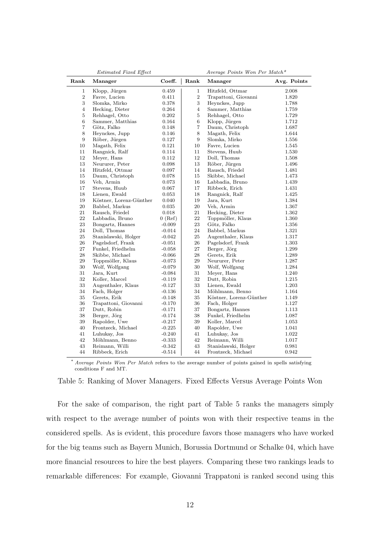|                  | Estimated Fixed Effect  |           |                | Average Points Won Per Match* |             |
|------------------|-------------------------|-----------|----------------|-------------------------------|-------------|
| Rank             | Manager                 | Coeff.    | Rank           | Manager                       | Avg. Points |
| 1                | Klopp, Jürgen           | 0.459     | $\mathbf{1}$   | Hitzfeld, Ottmar              | 2.008       |
| $\sqrt{2}$       | Favre, Lucien           | 0.411     | $\sqrt{2}$     | Trapattoni, Giovanni          | 1.820       |
| $\sqrt{3}$       | Slomka, Mirko           | 0.378     | $\,3$          | Heynckes, Jupp                | 1.788       |
| $\overline{4}$   | Hecking, Dieter         | 0.264     | $\overline{4}$ | Sammer, Matthias              | 1.759       |
| $\bf 5$          | Rehhagel, Otto          | 0.202     | $\bf 5$        | Rehhagel, Otto                | 1.729       |
| $\,6$            | Sammer, Matthias        | 0.164     | 6              | Klopp, Jürgen                 | 1.712       |
| $\overline{7}$   | Götz, Falko             | 0.148     | $\,7$          | Daum, Christoph               | 1.687       |
| $\,8\,$          | Heynckes, Jupp          | 0.146     | 8              | Magath, Felix                 | 1.644       |
| $\boldsymbol{9}$ | Röber, Jürgen           | 0.127     | 9              | Slomka, Mirko                 | 1.556       |
| 10               | Magath, Felix           | 0.121     | 10             | Favre, Lucien                 | 1.545       |
| 11               | Rangnick, Ralf          | 0.114     | 11             | Stevens, Huub                 | 1.530       |
| 12               | Meyer, Hans             | 0.112     | 12             | Doll, Thomas                  | 1.508       |
| 13               | Neururer, Peter         | 0.098     | 13             | Röber, Jürgen                 | 1.496       |
| 14               | Hitzfeld, Ottmar        | 0.097     | 14             | Rausch, Friedel               | 1.481       |
| 15               | Daum, Christoph         | 0.078     | 15             | Skibbe, Michael               | 1.473       |
| 16               | Veh, Armin              | 0.073     | 16             | Labbadia, Bruno               | 1.439       |
| 17               | Stevens, Huub           | 0.067     | $17\,$         | Ribbeck, Erich                | 1.431       |
| 18               | Lienen, Ewald           | 0.053     | 18             | Rangnick, Ralf                | 1.425       |
| 19               | Köstner, Lorenz-Günther | 0.040     | 19             | Jara, Kurt                    | 1.384       |
| 20               | Babbel, Markus          | 0.035     | 20             | Veh, Armin                    | 1.367       |
| 21               | Rausch, Friedel         | 0.018     | 21             | Hecking, Dieter               | 1.362       |
| 22               | Labbadia, Bruno         | $0$ (Ref) | 22             | Toppmöller, Klaus             | 1.360       |
| 23               | Bongartz, Hannes        | $-0.009$  | 23             | Götz, Falko                   | 1.356       |
| 24               | Doll, Thomas            | $-0.014$  | 24             | Babbel, Markus                | 1.321       |
| 25               | Stanislawski, Holger    | $-0.042$  | 25             | Augenthaler, Klaus            | 1.317       |
| 26               | Pagelsdorf, Frank       | $-0.051$  | 26             | Pagelsdorf, Frank             | 1.303       |
| $27\,$           | Funkel, Friedhelm       | $-0.058$  | 27             | Berger, Jörg                  | 1.299       |
| 28               | Skibbe, Michael         | $-0.066$  | 28             | Gerets, Erik                  | 1.289       |
| $\,29$           | Toppmöller, Klaus       | $-0.073$  | 29             | Neururer, Peter               | 1.287       |
| 30               | Wolf, Wolfgang          | $-0.079$  | $30\,$         | Wolf, Wolfgang                | 1.284       |
| 31               | Jara, Kurt              | $-0.084$  | 31             | Meyer, Hans                   | 1.240       |
| 32               | Koller, Marcel          | $-0.119$  | 32             | Dutt, Robin                   | 1.215       |
| 33               | Augenthaler, Klaus      | $-0.127$  | 33             | Lienen, Ewald                 | 1.203       |
| 34               | Fach, Holger            | $-0.136$  | 34             | Möhlmann, Benno               | 1.164       |
| 35               | Gerets, Erik            | $-0.148$  | 35             | Köstner, Lorenz-Günther       | 1.149       |
| 36               | Trapattoni, Giovanni    | $-0.170$  | 36             | Fach, Holger                  | 1.127       |
| 37               | Dutt, Robin             | $-0.171$  | 37             | Bongartz, Hannes              | 1.113       |
| 38               | Berger, Jörg            | $-0.174$  | 38             | Funkel, Friedhelm             | 1.087       |
| $39\,$           | Rapolder, Uwe           | $-0.217$  | 39             | Koller, Marcel                | 1.053       |
| 40               | Frontzeck, Michael      | $-0.225$  | 40             | Rapolder, Uwe                 | 1.041       |
| 41               | Luhukay, Jos            | $-0.240$  | 41             | Luhukay, Jos                  | 1.022       |
| 42               | Möhlmann, Benno         | $-0.333$  | 42             | Reimann, Willi                | 1.017       |
| 43               | Reimann, Willi          | $-0.342$  | 43             | Stanislawski, Holger          | 0.981       |
| 44               | Ribbeck, Erich          | $-0.514$  | 44             | Frontzeck, Michael            | 0.942       |

\* Average Points Won Per Match refers to the average number of points gained in spells satisfying conditions F and MT.

#### Table 5: Ranking of Mover Managers. Fixed Effects Versus Average Points Won

For the sake of comparison, the right part of Table 5 ranks the managers simply with respect to the average number of points won with their respective teams in the considered spells. As is evident, this procedure favors those managers who have worked for the big teams such as Bayern Munich, Borussia Dortmund or Schalke 04, which have more financial resources to hire the best players. Comparing these two rankings leads to remarkable differences: For example, Giovanni Trappatoni is ranked second using this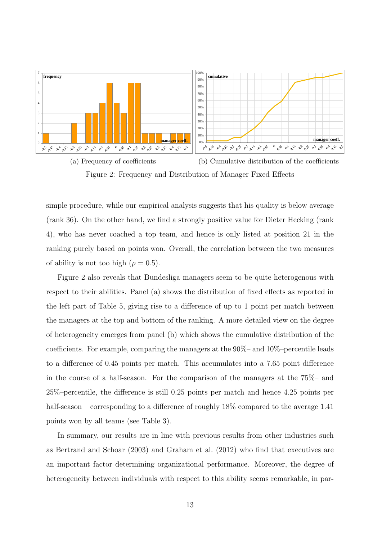

Figure 2: Frequency and Distribution of Manager Fixed Effects

simple procedure, while our empirical analysis suggests that his quality is below average (rank 36). On the other hand, we find a strongly positive value for Dieter Hecking (rank 4), who has never coached a top team, and hence is only listed at position 21 in the ranking purely based on points won. Overall, the correlation between the two measures of ability is not too high ( $\rho = 0.5$ ).

Figure 2 also reveals that Bundesliga managers seem to be quite heterogenous with respect to their abilities. Panel (a) shows the distribution of fixed effects as reported in the left part of Table 5, giving rise to a difference of up to 1 point per match between the managers at the top and bottom of the ranking. A more detailed view on the degree of heterogeneity emerges from panel (b) which shows the cumulative distribution of the coefficients. For example, comparing the managers at the 90%– and 10%–percentile leads to a difference of 0.45 points per match. This accumulates into a 7.65 point difference in the course of a half-season. For the comparison of the managers at the 75%– and 25%–percentile, the difference is still 0.25 points per match and hence 4.25 points per half-season – corresponding to a difference of roughly  $18\%$  compared to the average 1.41 points won by all teams (see Table 3).

In summary, our results are in line with previous results from other industries such as Bertrand and Schoar (2003) and Graham et al. (2012) who find that executives are an important factor determining organizational performance. Moreover, the degree of heterogeneity between individuals with respect to this ability seems remarkable, in par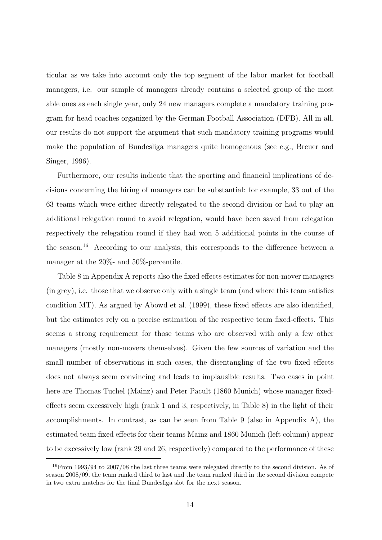ticular as we take into account only the top segment of the labor market for football managers, i.e. our sample of managers already contains a selected group of the most able ones as each single year, only 24 new managers complete a mandatory training program for head coaches organized by the German Football Association (DFB). All in all, our results do not support the argument that such mandatory training programs would make the population of Bundesliga managers quite homogenous (see e.g., Breuer and Singer, 1996).

Furthermore, our results indicate that the sporting and financial implications of decisions concerning the hiring of managers can be substantial: for example, 33 out of the 63 teams which were either directly relegated to the second division or had to play an additional relegation round to avoid relegation, would have been saved from relegation respectively the relegation round if they had won 5 additional points in the course of the season.<sup>16</sup> According to our analysis, this corresponds to the difference between a manager at the 20%- and 50%-percentile.

Table 8 in Appendix A reports also the fixed effects estimates for non-mover managers (in grey), i.e. those that we observe only with a single team (and where this team satisfies condition MT). As argued by Abowd et al. (1999), these fixed effects are also identified, but the estimates rely on a precise estimation of the respective team fixed-effects. This seems a strong requirement for those teams who are observed with only a few other managers (mostly non-movers themselves). Given the few sources of variation and the small number of observations in such cases, the disentangling of the two fixed effects does not always seem convincing and leads to implausible results. Two cases in point here are Thomas Tuchel (Mainz) and Peter Pacult (1860 Munich) whose manager fixedeffects seem excessively high (rank 1 and 3, respectively, in Table 8) in the light of their accomplishments. In contrast, as can be seen from Table 9 (also in Appendix A), the estimated team fixed effects for their teams Mainz and 1860 Munich (left column) appear to be excessively low (rank 29 and 26, respectively) compared to the performance of these

<sup>16</sup>From 1993/94 to 2007/08 the last three teams were relegated directly to the second division. As of season 2008/09, the team ranked third to last and the team ranked third in the second division compete in two extra matches for the final Bundesliga slot for the next season.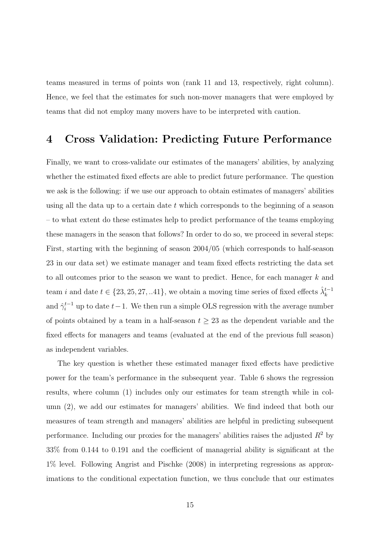teams measured in terms of points won (rank 11 and 13, respectively, right column). Hence, we feel that the estimates for such non-mover managers that were employed by teams that did not employ many movers have to be interpreted with caution.

## 4 Cross Validation: Predicting Future Performance

Finally, we want to cross-validate our estimates of the managers' abilities, by analyzing whether the estimated fixed effects are able to predict future performance. The question we ask is the following: if we use our approach to obtain estimates of managers' abilities using all the data up to a certain date  $t$  which corresponds to the beginning of a season – to what extent do these estimates help to predict performance of the teams employing these managers in the season that follows? In order to do so, we proceed in several steps: First, starting with the beginning of season 2004/05 (which corresponds to half-season 23 in our data set) we estimate manager and team fixed effects restricting the data set to all outcomes prior to the season we want to predict. Hence, for each manager k and team *i* and date  $t \in \{23, 25, 27, ... 41\}$ , we obtain a moving time series of fixed effects  $\hat{\lambda}_k^{t-1}$ and  $\hat{\gamma}_i^{t-1}$  up to date  $t-1$ . We then run a simple OLS regression with the average number of points obtained by a team in a half-season  $t \geq 23$  as the dependent variable and the fixed effects for managers and teams (evaluated at the end of the previous full season) as independent variables.

The key question is whether these estimated manager fixed effects have predictive power for the team's performance in the subsequent year. Table 6 shows the regression results, where column (1) includes only our estimates for team strength while in column (2), we add our estimates for managers' abilities. We find indeed that both our measures of team strength and managers' abilities are helpful in predicting subsequent performance. Including our proxies for the managers' abilities raises the adjusted  $R^2$  by 33% from 0.144 to 0.191 and the coefficient of managerial ability is significant at the 1% level. Following Angrist and Pischke (2008) in interpreting regressions as approximations to the conditional expectation function, we thus conclude that our estimates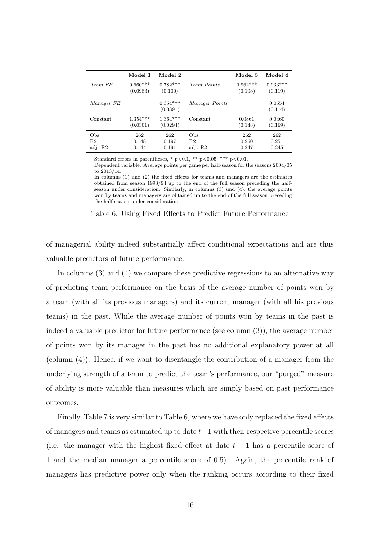|                                   | Model 1                | Model 2                |                                   | Model 3               | Model 4               |
|-----------------------------------|------------------------|------------------------|-----------------------------------|-----------------------|-----------------------|
| Team FE                           | $0.660***$<br>(0.0983) | $0.782***$<br>(0.100)  | Team Points                       | $0.962***$<br>(0.103) | $0.933***$<br>(0.119) |
| Manager FE                        |                        | $0.354***$<br>(0.0891) | Manager Points                    |                       | 0.0554<br>(0.114)     |
| Constant                          | $1.354***$<br>(0.0301) | $1.364***$<br>(0.0294) | Constant                          | 0.0861<br>(0.148)     | 0.0460<br>(0.169)     |
| Obs.<br>R <sub>2</sub><br>adj. R2 | 262<br>0.148<br>0.144  | 262<br>0.197<br>0.191  | Obs.<br>R <sub>2</sub><br>adj. R2 | 262<br>0.250<br>0.247 | 262<br>0.251<br>0.245 |

Standard errors in parentheses,  $* p < 0.1$ ,  $** p < 0.05$ ,  $*** p < 0.01$ .

Dependent variable: Average points per game per half-season for the seasons 2004/05 to 2013/14.

In columns (1) und (2) the fixed effects for teams and managers are the estimates obtained from season 1993/94 up to the end of the full season preceding the halfseason under consideration. Similarly, in columns (3) und (4), the average points won by teams and managers are obtained up to the end of the full season preceding the half-season under consideration.

Table 6: Using Fixed Effects to Predict Future Performance

of managerial ability indeed substantially affect conditional expectations and are thus valuable predictors of future performance.

In columns (3) and (4) we compare these predictive regressions to an alternative way of predicting team performance on the basis of the average number of points won by a team (with all its previous managers) and its current manager (with all his previous teams) in the past. While the average number of points won by teams in the past is indeed a valuable predictor for future performance (see column (3)), the average number of points won by its manager in the past has no additional explanatory power at all (column (4)). Hence, if we want to disentangle the contribution of a manager from the underlying strength of a team to predict the team's performance, our "purged" measure of ability is more valuable than measures which are simply based on past performance outcomes.

Finally, Table 7 is very similar to Table 6, where we have only replaced the fixed effects of managers and teams as estimated up to date t−1 with their respective percentile scores (i.e. the manager with the highest fixed effect at date  $t-1$  has a percentile score of 1 and the median manager a percentile score of 0.5). Again, the percentile rank of managers has predictive power only when the ranking occurs according to their fixed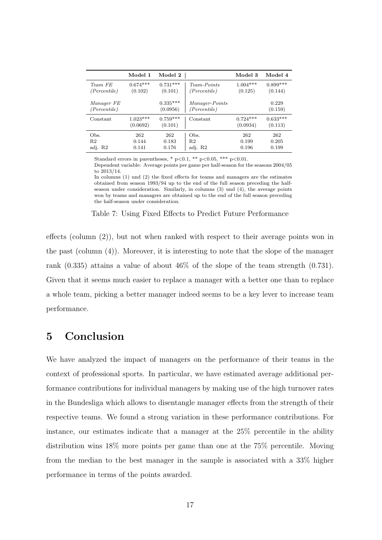|                                   | Model 1                | Model 2                |                                       | Model 3                | Model 4               |
|-----------------------------------|------------------------|------------------------|---------------------------------------|------------------------|-----------------------|
| Team FE<br>(Percentile)           | $0.674***$<br>(0.102)  | $0.731***$<br>(0.101)  | Team-Points<br>(Percentile)           | $1.004***$<br>(0.125)  | $0.899***$<br>(0.144) |
| Manager FE<br>(Percentile)        |                        | $0.335***$<br>(0.0956) | <i>Manager-Points</i><br>(Percentile) |                        | 0.229<br>(0.159)      |
| Constant                          | $1.023***$<br>(0.0692) | $0.759***$<br>(0.101)  | Constant                              | $0.724***$<br>(0.0934) | $0.633***$<br>(0.113) |
| Obs.<br>R <sub>2</sub><br>adj. R2 | 262<br>0.144<br>0.141  | 262<br>0.183<br>0.176  | Obs.<br>R <sub>2</sub><br>adj. R2     | 262<br>0.199<br>0.196  | 262<br>0.205<br>0.199 |

Standard errors in parentheses,  $* p < 0.1$ ,  $** p < 0.05$ ,  $*** p < 0.01$ .

Dependent variable: Average points per game per half-season for the seasons 2004/05 to 2013/14.

In columns (1) und (2) the fixed effects for teams and managers are the estimates obtained from season 1993/94 up to the end of the full season preceding the halfseason under consideration. Similarly, in columns (3) und (4), the average points won by teams and managers are obtained up to the end of the full season preceding the half-season under consideration.

#### Table 7: Using Fixed Effects to Predict Future Performance

effects (column (2)), but not when ranked with respect to their average points won in the past (column (4)). Moreover, it is interesting to note that the slope of the manager rank (0.335) attains a value of about 46% of the slope of the team strength (0.731). Given that it seems much easier to replace a manager with a better one than to replace a whole team, picking a better manager indeed seems to be a key lever to increase team performance.

## 5 Conclusion

We have analyzed the impact of managers on the performance of their teams in the context of professional sports. In particular, we have estimated average additional performance contributions for individual managers by making use of the high turnover rates in the Bundesliga which allows to disentangle manager effects from the strength of their respective teams. We found a strong variation in these performance contributions. For instance, our estimates indicate that a manager at the 25% percentile in the ability distribution wins 18% more points per game than one at the 75% percentile. Moving from the median to the best manager in the sample is associated with a 33% higher performance in terms of the points awarded.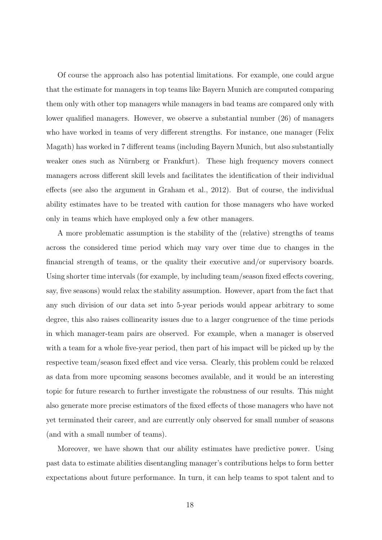Of course the approach also has potential limitations. For example, one could argue that the estimate for managers in top teams like Bayern Munich are computed comparing them only with other top managers while managers in bad teams are compared only with lower qualified managers. However, we observe a substantial number (26) of managers who have worked in teams of very different strengths. For instance, one manager (Felix Magath) has worked in 7 different teams (including Bayern Munich, but also substantially weaker ones such as Nürnberg or Frankfurt). These high frequency movers connect managers across different skill levels and facilitates the identification of their individual effects (see also the argument in Graham et al., 2012). But of course, the individual ability estimates have to be treated with caution for those managers who have worked only in teams which have employed only a few other managers.

A more problematic assumption is the stability of the (relative) strengths of teams across the considered time period which may vary over time due to changes in the financial strength of teams, or the quality their executive and/or supervisory boards. Using shorter time intervals (for example, by including team/season fixed effects covering, say, five seasons) would relax the stability assumption. However, apart from the fact that any such division of our data set into 5-year periods would appear arbitrary to some degree, this also raises collinearity issues due to a larger congruence of the time periods in which manager-team pairs are observed. For example, when a manager is observed with a team for a whole five-year period, then part of his impact will be picked up by the respective team/season fixed effect and vice versa. Clearly, this problem could be relaxed as data from more upcoming seasons becomes available, and it would be an interesting topic for future research to further investigate the robustness of our results. This might also generate more precise estimators of the fixed effects of those managers who have not yet terminated their career, and are currently only observed for small number of seasons (and with a small number of teams).

Moreover, we have shown that our ability estimates have predictive power. Using past data to estimate abilities disentangling manager's contributions helps to form better expectations about future performance. In turn, it can help teams to spot talent and to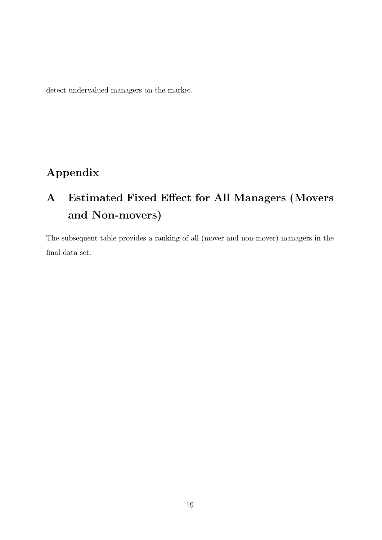detect undervalued managers on the market.

## Appendix

# A Estimated Fixed Effect for All Managers (Movers and Non-movers)

The subsequent table provides a ranking of all (mover and non-mover) managers in the final data set.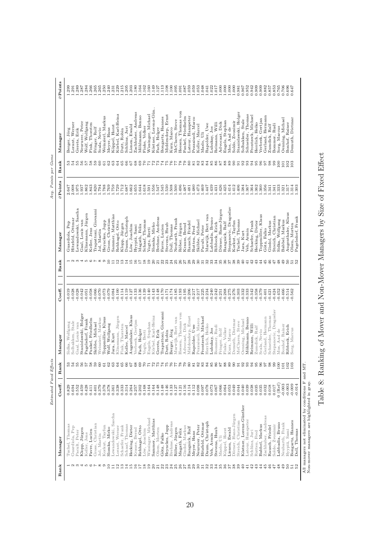|                             |                                                    | Estimated Fixed Effects |               |                                        |                      |                       |                                  | Avg. Points per Game |                      |                                     |                      |
|-----------------------------|----------------------------------------------------|-------------------------|---------------|----------------------------------------|----------------------|-----------------------|----------------------------------|----------------------|----------------------|-------------------------------------|----------------------|
| Rank                        | Manager                                            | Coeff.                  | Rank          | Manager                                | Coeff.               | Rank                  | Manager                          | <b>ØPoints</b>       | Rank                 | Manager                             | $\varnothing$ Points |
|                             | Tuchel, Thomas                                     | 0.829                   |               | Sidka, Wolfgang                        | 0.019                |                       | Guardiola, Pep                   | 2.647                | 5355                 | Berger, Jörg                        | 1.299                |
|                             | Guardiola, Pep                                     | 0.694                   |               | Solbakken, Stale                       | $-0.028$             |                       | Hitzfeld, Ottmar                 | 2.008                |                      | Lorant, Werner                      | 1.291                |
|                             | Pacult, Peter                                      | 0.552                   |               | Gaal, Louis van                        | 0.028                |                       | Lewandowski, Sascha              | 1.975                |                      | Gerets, Erik                        | 1.289                |
|                             | Klopp, Jürgen                                      | 0.459                   |               | Stanislawski, Holger                   | 0.042                | 4                     | Gaal, Louis van                  | 1.937                | $\frac{56}{6}$       | Neururer, Peter                     | 1.287                |
| <b>IQ</b>                   | Keller, Jens                                       | 0.428                   |               | Pagelsdorf, Frank                      | $-0.051$             | <b>IQ</b>             | Klinsmann, Jürgen                | 1.862                |                      | <b>Nolf</b> , Wolfgang              | 1.284                |
| $\circ$ $\sim$              | Favre, Lucien                                      | 0.411                   |               | Funkel, Friedhelm                      | $-0.058$             | $\circ$ $\sim$        | Keller, Jens                     | 1.843                | $^{58}$              | Fink, Thorsten                      | 1.266                |
|                             | Gross, Christian                                   | 0.401                   |               | Skibbe, Michael                        | $-0.066$             | $\infty$              | Trapattoni, Giovanni             | 1.820                | 59<br>$\overline{6}$ | Fringer, Rolf                       | 1.265<br>1.265       |
| $\infty$<br>$\circ$         | Jol, Martin                                        | 0.379<br>0.378          | $\circ$       | Toppmöller, Klaus<br>Weinzierl, Markus | $-0.070$<br>$-0.073$ | ಾ                     | Jol, Martin                      | 1.794<br>1.788       | 51                   | Weinzierl, Markus<br>Scala, Nevio   | 1.250                |
|                             | Korkut, Tayfun                                     |                         | ୖଌ            |                                        |                      | $\overline{a}$        | Heynckes, Jupp                   |                      | 62                   |                                     | 1.240                |
| $\overline{10}$             | Slomka, Mirko                                      | 0.378                   |               | Wolf, Wolfgang                         | $-0.079$             |                       | Gross, Christian                 | 1.769                |                      | Meyer, Hans                         |                      |
| 를                           | Lewandowski, Sascha                                | 0.361                   | ಁ             | Jara, Kurt                             | $-0.084$             | 름                     | Sammer, Matthias                 | 1.759                | $\mathbb{S}^3$       | Köppel, Horst<br>Körbel, Karl-Heinz | 1.231                |
| $^{12}$                     | Lorant, Werner                                     | 0.338                   | Ğ             | Klinsmann, Jürgen                      | $-0.100$             | 22                    | Rehhagel, Otto                   | 1.729                | $^{64}$              |                                     | 1.229                |
| $\frac{3}{1}$               | Schaefer, Frank                                    | 0.333                   | ँ             | Fink, Thorsten                         | $-0.114$             |                       | Klopp, Jürgen                    | 1.712                | 65                   | Dutt, Robin                         | 1.215                |
| 4                           | Schaaf, Thomas                                     | 0.314                   | త             | Koller, Marcel                         | $-0.119$             | 4                     | Daum, Christoph                  | 1.687                | 66                   | Schlünz, Juri                       | 1.205                |
| $\frac{15}{10}$             | Hecking, Dieter                                    | 0.264                   | Ö             | Augenthaler, Klaus                     | $-0.127$             | 凸                     | Löw, Joachim                     | 1.662                | 79                   | Lienen, Ewald                       | 1.203                |
| $\frac{6}{2}$               | Krauss, Bernd                                      | 0.257                   | õ             | Verbeek, Gertjan                       | $-0.133$             | $\frac{20}{2}$        | Hyypiä, Sami                     | 1.655                | 68                   | Zachhuber, Andreas                  | 1.180                |
| 71                          | Rehhagel, Otto                                     | 0.202                   |               | Fach, Holger                           | $-0.136$             |                       | Magath, Felix                    | 1.644                | 69                   | Möhlmann, Benno                     | 1.164                |
|                             | Löw, Joachim                                       | 0.168                   | ᅙ             | Vogts, Berti                           | $-0.139$             |                       | Schaaf, Thomas                   | 1.618                | $\overline{C}$       | Finke, Volker                       | 1.162                |
|                             | Wiesinger, Michael                                 | 0.164                   | Ļ             | Engels, Stephan                        | $-0.140$             |                       | Vogts, Berti                     | 1.591                | $\overline{7}$       | Wiesinger, Michael                  | 1.160                |
| 228528                      | Sammer, Matthias                                   | 0.164                   | r             | Körbel, Karl-Heinz                     | $-0.143$             |                       | Slomka, Mirko                    | 1.556                |                      | Köstner, Lorenz-Gün                 | 1.149                |
|                             | Olsen, Morten                                      | 0.148                   |               | Gerets, Erik                           | $-0.148$             |                       | Brehme, Andreas                  | 1.547                | 73                   | Fach, Holger                        | 1.127                |
|                             | Götz, Falko                                        | 0.148                   |               | Trapattoni, Giovanni                   | $-0.170$             |                       | Favre, Lucien                    | 1.545                |                      | Bongartz, Hannes                    | 1.113                |
|                             | Heynckes, Jupp                                     | 0.146                   |               | Dutt, Robin                            | $-0.171$             |                       | Stevens, Huub                    | 1.530                | 75                   | Middendorp, Ernst                   | 1.108                |
| $^{24}$                     | Brehme, Andreas                                    | 0.133                   |               | Berger, Jörg                           | $-0.174$             | 2285333               | Doll, Thomas                     | 1.508                | $^{6}$               | Kurz, Marco                         | 1.100                |
|                             | Röber, Jürgen                                      | 0.127                   |               | Marwijk, Bert van                      | $-0.185$             |                       | Neubarth, Frank                  | 1.500                |                      | McClaren, Steve                     | 1.095                |
| 25                          | Magath, Felix                                      | 0.121                   | 5752525       | Heesen, Thomas von                     | $-0.193$             |                       | Röber, Jürgen                    | 1.496                | $^{8}$               | Heesen, Thomas von                  | 1.091                |
|                             | Gisdol, Markus                                     | 0.116                   |               | Advocaat, Dick                         | $-0.195$             |                       | Krauss, Bernd                    | .487                 | 79                   | Funkel, Friedhelm                   | 1.087                |
|                             | Rangnick, Ralf                                     | 0.114                   |               | Middendorp, Ernst                      | $-0.206$             |                       | Rausch, Friedel                  | $-481$               | 80                   | Latour, Hanspeter                   | 1.059                |
| 2888                        | Meyer, Hans                                        | 0.112                   |               |                                        | $-0.217$             |                       |                                  | 1.480                |                      |                                     | 1.059                |
|                             |                                                    |                         |               | Rapolder, Uwe                          |                      |                       | Rutten, Fred                     |                      | $\frac{3}{8}$        | Pezzaiuoli, Marco                   |                      |
|                             | Neururer, Peter                                    | 0.098                   |               | Pezzaiuoli, Marco                      | $-0.217$             | s s a s s s s s s s s | Skibbe, Michael                  | .473                 |                      | Koller, Marcel                      | 1.053                |
| $\frac{1}{2}$ $\frac{1}{2}$ | Hitzfeld, Ottmar                                   | 0.097                   |               | Frontzeck, Michael                     | $-0.225$             |                       | Pacult, Peter                    | 1.469                | 83                   | Maslo, Uli                          | 1.048                |
|                             | Daum, Christoph                                    | 0.078                   |               | Herrlich, Heiko                        | $-0.234$             |                       | Marwijk, Bert van                | -447                 | 84                   | Rapolder, Uwe                       | 1.041                |
| 33                          | Veh, Armin                                         | 0.073                   |               | Luhukay, Jos                           | $-0.240$             |                       | abbadia, Bruno                   | 1.439                | $85$                 | Luhukay, Jos                        | 1.022                |
| 34                          | Stevens, Huub                                      | 0.067                   |               | Bommer, Rudi                           | $-0.242$             |                       | Ribbeck, Erich                   | .431                 | 86                   | Reimann, Willi                      | 1.017                |
| 35                          | Maslo, Uli                                         | 0.066                   |               | Fringer, Rolf                          | $-0.251$             |                       | Dörner, Hans-Jürgen              | 1.426                | 78                   | Advocaat, Dick                      | 1.000                |
| 36                          | Köppel, Horst                                      | 0.064                   |               | Finke, Volker                          | $-0.268$             |                       | Rangnick, Ralf                   | $-425$               | 898                  | Engels, Stephan                     | 1.000                |
|                             | Lienen, Ewald                                      | 0.053                   |               | Kurz, Marco                            | $-0.275$             |                       | Stepanovic, Dragoslav            | 1.414                |                      | Mos, Aad de                         | 1.000                |
| 5.88                        | Dörner, Hans-Jürgen                                | 0.049                   |               | Demuth, Dietmar                        | $-0.276$             | <b>222222</b>         | Korkut, Tayfun<br>Tuchel, Thomas | 1.412                |                      | Soldo, Zvonimir                     | 1.000                |
|                             | Streich, Christian                                 | 0.044                   |               | McClaren, Steve                        | $-0.303$             |                       |                                  | 406                  | $\overline{5}$       | Stanislawski, Holger                | 0.981                |
| $\overline{a}$              | Köstner, Lorenz-Günther                            | 0.040                   |               | Oenning, Michael                       | $-0.332$             | $\theta$              | Jara, Kurt                       | 1.384                | 92                   | Solbakken, Stale                    | 0.967                |
| ₹                           | Latour, Hanspeter                                  | 0.039                   |               | Möhlmann, Benno                        | $-0.333$             | $\frac{1}{4}$         | Veh, Armin                       | .367                 | 93                   | Schneider, Thomas                   | 0.952                |
| $\frac{2}{3}$               | Schlünz, Juri                                      | 0.038                   |               | Reimann, Willi                         | $-0.342$             | 42                    | Schaefer, Frank                  | 1.364                | 94                   | Frontzeck, Michael                  | 0.942                |
| ಇ                           | Rutten, Fred                                       | 0.035                   |               | Zumdick, Ralf                          | $-0.358$             | $\mathfrak{B}$        | Hecking, Dieter                  | .362                 | $65$                 | Herrlich, Heiko                     | 0.909                |
| $\sharp$                    | Babbel, Markus                                     | 0.035                   |               | Scala, Nevio                           | $-0.379$             | $\overline{4}$        | Toppmöller, Klaus                | 1.360                | $96$                 | Verbeek, Gertjan                    | 0.909                |
| 45                          | Zachhuber, Andreas                                 | 0.032                   |               | Gerland, Hermann                       | $-0.401$             | 45                    | Götz, Falko                      | 1.356                | 67                   | Gerland, Hermann                    | 0.882                |
| $\frac{6}{5}$               | Rausch, Friedel                                    | 0.018                   |               | Schneider, Thomas                      | $-0.421$             | $\frac{6}{5}$         | Gisdol, Markus                   | 1.341                | $^{98}$              | Zumdick, Ralf                       | 0.857                |
|                             | Soldo, Zvonimir                                    | 0.017                   |               | Stepanovic, Dragoslav                  | $-0.424$             | ¦÷                    | Streich, Christian               | 1.341                | 99                   | Bommer, Rudi                        | 0.853                |
| $\frac{48}{5}$              | Jabbadia, Bruno                                    | (Ref)                   | $\frac{5}{2}$ | Mos, Aad de                            | $-0.452$             | $\frac{3}{4}$         | Sidka, Wolfgang                  | 1.333                | $\epsilon$           | Sorg, Marcus                        | 0.765                |
| $^{49}$                     | Neubarth, Frank                                    | $-0.003$                | 101           | Bonhof, Rainer                         | $-0.466$             |                       | Babbel, Markus                   | 1.321                | 101                  | Oenning, Michael<br>Bonhof, Rainer  | 0.706                |
| S0                          | Hyypiä, Sami                                       | $-0.003$                | 102           | Ribbeck, Erich                         | $-0.514$             | S.                    | Augenthaler, Klaus               | .317                 | 102                  |                                     | 0.696                |
| 15                          | Bongartz, Hannes                                   | $-0.009$                | $\frac{3}{2}$ | Sorg, Marcus                           | $-0.562$             | $\frac{1}{2}$         | Olsen, Morten                    | 1.314                | 103                  | Demuth, Dietmar                     | 0.647                |
| 52                          | Doll, Thomas                                       | $-0.014$                |               |                                        |                      |                       | Pagelsdorf, Frank                | 1.303                |                      |                                     |                      |
|                             | All managers not eliminated by conditions F and MT |                         |               |                                        |                      |                       |                                  |                      |                      |                                     |                      |
|                             | Non-mover managers are highlighted in gray.        |                         |               |                                        |                      |                       |                                  |                      |                      |                                     |                      |

Table 8: Ranking of Mover and Non-Mover Managers by Size of Fixed Effect Table 8: Ranking of Mover and Non-Mover Managers by Size of Fixed Effect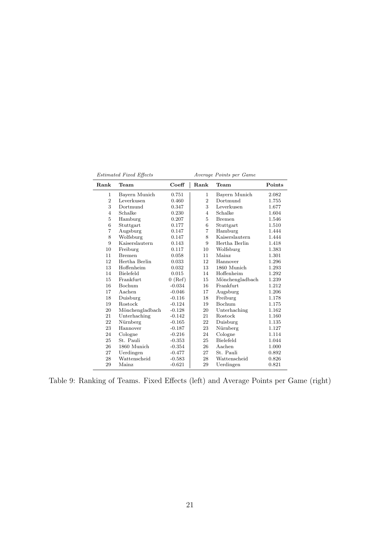$Estimated\ Fixed\ Effects$ 

| Average Points per Game |  |  |
|-------------------------|--|--|
|                         |  |  |

| Rank           | Team             | Coeff     | Rank           | Team             | Points |
|----------------|------------------|-----------|----------------|------------------|--------|
| $\mathbf{1}$   | Bayern Munich    | 0.751     | $\mathbf{1}$   | Bayern Munich    | 2.082  |
| $\overline{2}$ | Leverkusen       | 0.460     | $\overline{2}$ | Dortmund         | 1.755  |
| 3              | Dortmund         | 0.347     | 3              | Leverkusen       | 1.677  |
| $\overline{4}$ | Schalke          | 0.230     | 4              | Schalke          | 1.604  |
| 5              | Hamburg          | 0.207     | 5              | <b>Bremen</b>    | 1.546  |
| 6              | Stuttgart        | 0.177     | 6              | Stuttgart        | 1.510  |
| $\overline{7}$ | Augsburg         | 0.147     | 7              | Hamburg          | 1.444  |
| 8              | Wolfsburg        | 0.147     | 8              | Kaiserslautern   | 1.444  |
| 9              | Kaiserslautern   | 0.143     | 9              | Hertha Berlin    | 1.418  |
| 10             | Freiburg         | 0.117     | 10             | Wolfsburg        | 1.383  |
| 11             | <b>Bremen</b>    | 0.058     | 11             | Mainz            | 1.301  |
| 12             | Hertha Berlin    | 0.033     | 12             | Hannover         | 1.296  |
| 13             | Hoffenheim       | 0.032     | 13             | 1860 Munich      | 1.293  |
| 14             | <b>Bielefeld</b> | 0.015     | 14             | Hoffenheim       | 1.292  |
| 15             | Frankfurt        | $0$ (Ref) | 15             | Mönchengladbach  | 1.239  |
| 16             | Bochum           | $-0.034$  | 16             | Frankfurt        | 1.212  |
| 17             | Aachen           | $-0.046$  | 17             | Augsburg         | 1.206  |
| 18             | Duisburg         | $-0.116$  | 18             | Freiburg         | 1.178  |
| 19             | Rostock          | $-0.124$  | 19             | <b>Bochum</b>    | 1.175  |
| 20             | Mönchengladbach  | $-0.128$  | 20             | Unterhaching     | 1.162  |
| 21             | Unterhaching     | $-0.142$  | 21             | Rostock          | 1.160  |
| 22             | Nürnberg         | $-0.165$  | 22             | Duisburg         | 1.135  |
| 23             | Hannover         | $-0.187$  | 23             | Nürnberg         | 1.127  |
| 24             | Cologne          | $-0.216$  | 24             | Cologne          | 1.114  |
| 25             | St. Pauli        | $-0.353$  | 25             | <b>Bielefeld</b> | 1.044  |
| 26             | 1860 Munich      | $-0.354$  | 26             | Aachen           | 1.000  |
| 27             | Uerdingen        | $-0.477$  | 27             | St. Pauli        | 0.892  |
| 28             | Wattenscheid     | $-0.583$  | 28             | Wattenscheid     | 0.826  |
| 29             | Mainz            | $-0.621$  | 29             | Uerdingen        | 0.821  |

Table 9: Ranking of Teams. Fixed Effects (left) and Average Points per Game (right)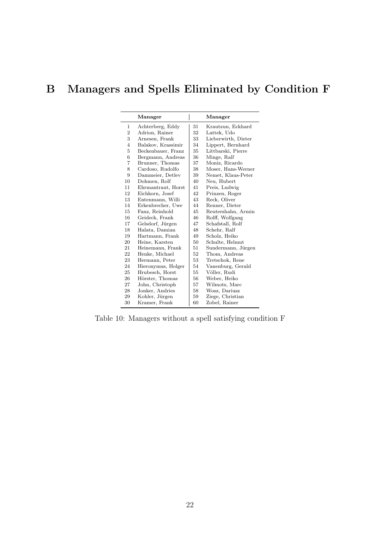## B Managers and Spells Eliminated by Condition F

|                | Manager            |    | Manager             |
|----------------|--------------------|----|---------------------|
| 1              | Achterberg, Eddy   | 31 | Krautzun, Eckhard   |
| $\overline{2}$ | Adrion, Rainer     | 32 | Lattek, Udo         |
| 3              | Arnesen, Frank     | 33 | Lieberwirth, Dieter |
| $\overline{4}$ | Balakov, Krassimir | 34 | Lippert, Bernhard   |
| 5              | Beckenbauer, Franz | 35 | Littbarski, Pierre  |
| 6              | Bergmann, Andreas  | 36 | Minge, Ralf         |
| 7              | Brunner, Thomas    | 37 | Moniz, Ricardo      |
| 8              | Cardoso, Rudolfo   | 38 | Moser, Hans-Werner  |
| 9              | Dammeier, Detlev   | 39 | Nemet, Klaus-Peter  |
| 10             | Dohmen, Rolf       | 40 | Neu, Hubert         |
| 11             | Ehrmantraut, Horst | 41 | Preis, Ludwig       |
| 12             | Eichkorn, Josef    | 42 | Prinzen, Roger      |
| 13             | Entenmann, Willi   | 43 | Reck, Oliver        |
| 14             | Erkenbrecher, Uwe  | 44 | Renner, Dieter      |
| 15             | Fanz, Reinhold     | 45 | Reutershahn, Armin  |
| 16             | Geideck, Frank     | 46 | Rolff, Wolfgang     |
| 17             | Gelsdorf, Jürgen   | 47 | Schafstall, Rolf    |
| 18             | Halata, Damian     | 48 | Schehr, Ralf        |
| 19             | Hartmann, Frank    | 49 | Scholz, Heiko       |
| 20             | Heine, Karsten     | 50 | Schulte, Helmut     |
| 21             | Heinemann, Frank   | 51 | Sundermann, Jürgen  |
| 22             | Henke, Michael     | 52 | Thom, Andreas       |
| 23             | Hermann, Peter     | 53 | Tretschok, Rene     |
| 24             | Hieronymus, Holger | 54 | Vanenburg, Gerald   |
| 25             | Hrubesch, Horst    | 55 | Völler, Rudi        |
| 26             | Hörster, Thomas    | 56 | Weber, Heiko        |
| 27             | John, Christoph    | 57 | Wilmots, Marc       |
| 28             | Jonker, Andries    | 58 | Wosz, Dariusz       |
| 29             | Kohler, Jürgen     | 59 | Ziege, Christian    |
| 30             | Kramer, Frank      | 60 | Zobel, Rainer       |

Table 10: Managers without a spell satisfying condition F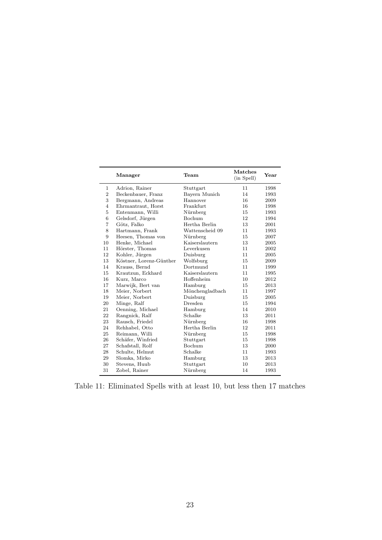|                | Manager                 | $\mathrm{Team}$ | <b>Matches</b><br>(in Spell) | Year |
|----------------|-------------------------|-----------------|------------------------------|------|
| $\mathbf{1}$   | Adrion, Rainer          | Stuttgart       | 11                           | 1998 |
| $\overline{2}$ | Beckenbauer, Franz      | Bayern Munich   | 14                           | 1993 |
| 3              | Bergmann, Andreas       | Hannover        | 16                           | 2009 |
| $\overline{4}$ | Ehrmantraut, Horst      | Frankfurt       | 16                           | 1998 |
| $\overline{5}$ | Entenmann, Willi        | Nürnberg        | 15                           | 1993 |
| 6              | Gelsdorf, Jürgen        | Bochum          | 12                           | 1994 |
| $\overline{7}$ | Götz, Falko             | Hertha Berlin   | 13                           | 2001 |
| 8              | Hartmann, Frank         | Wattenscheid 09 | 11                           | 1993 |
| 9              | Heesen, Thomas von      | Nürnberg        | 15                           | 2007 |
| 10             | Henke, Michael          | Kaiserslautern  | 13                           | 2005 |
| 11             | Hörster, Thomas         | Leverkusen      | 11                           | 2002 |
| 12             | Kohler, Jürgen          | Duisburg        | 11                           | 2005 |
| 13             | Köstner, Lorenz-Günther | Wolfsburg       | 15                           | 2009 |
| 14             | Krauss, Bernd           | Dortmund        | 11                           | 1999 |
| 15             | Krautzun, Eckhard       | Kaiserslautern  | 11                           | 1995 |
| 16             | Kurz, Marco             | Hoffenheim      | 10                           | 2012 |
| 17             | Marwijk, Bert van       | Hamburg         | 15                           | 2013 |
| 18             | Meier, Norbert          | Mönchengladbach | 11                           | 1997 |
| 19             | Meier, Norbert          | Duisburg        | 15                           | 2005 |
| 20             | Minge, Ralf             | Dresden         | 15                           | 1994 |
| 21             | Oenning, Michael        | Hamburg         | 14                           | 2010 |
| 22             | Rangnick, Ralf          | Schalke         | 13                           | 2011 |
| 23             | Rausch, Friedel         | Nürnberg        | 16                           | 1998 |
| 24             | Rehhabel, Otto          | Hertha Berlin   | 12                           | 2011 |
| 25             | Reimann, Willi          | Nürnberg        | 15                           | 1998 |
| 26             | Schäfer, Winfried       | Stuttgart       | 15                           | 1998 |
| 27             | Schafstall, Rolf        | Bochum          | 13                           | 2000 |
| 28             | Schulte, Helmut         | Schalke         | 11                           | 1993 |
| 29             | Slomka, Mirko           | Hamburg         | 13                           | 2013 |
| 30             | Stevens, Huub           | Stuttgart       | 10                           | 2013 |
| 31             | Zobel, Rainer           | Nürnberg        | 14                           | 1993 |

Table 11: Eliminated Spells with at least 10, but less then 17 matches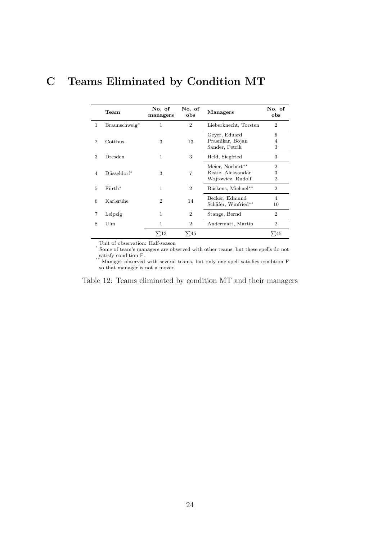## C Teams Eliminated by Condition MT

|                             | Team          | No. of<br>managers | No. of<br>obs  | <b>Managers</b>                                             | No. of<br>obs                         |
|-----------------------------|---------------|--------------------|----------------|-------------------------------------------------------------|---------------------------------------|
| 1                           | Braunschweig* | 1                  | $\overline{2}$ | Lieberknecht, Torsten                                       | $\overline{2}$                        |
| $\mathcal{D}_{\mathcal{L}}$ | Cottbus       | 3                  | 13             | Geyer, Eduard<br>Prasnikar, Bojan<br>Sander, Petrik         | 6<br>4<br>3                           |
| 3                           | Dresden       | 1                  | 3              | Held, Siegfried                                             | 3                                     |
| 4                           | Düsseldorf*   | 3                  | $\overline{7}$ | Meier, Norbert**<br>Ristic, Aleksandar<br>Wojtowicz, Rudolf | $\overline{2}$<br>3<br>$\overline{2}$ |
| 5                           | $F$ urth*     | 1                  | $\overline{2}$ | Büskens, Michael**                                          | $\overline{2}$                        |
| 6                           | Karlsruhe     | $\overline{2}$     | 14             | Becker, Edmund<br>Schäfer, Winfried**                       | 4<br>10                               |
| 7                           | Leipzig       | 1                  | $\overline{2}$ | Stange, Bernd                                               | $\overline{2}$                        |
| 8                           | Ulm           | 1                  | $\overline{2}$ | Andermatt, Martin                                           | $\overline{2}$                        |
|                             |               | $\Sigma$ 13        | $\Sigma_{45}$  |                                                             | > 45                                  |

Unit of observation: Half-season ∗ Some of team's managers are observed with other teams, but these spells do not satisfy condition F.

 $^{\prime}$  Manager observed with several teams, but only one spell satisfies condition F so that manager is not a mover.

Table 12: Teams eliminated by condition MT and their managers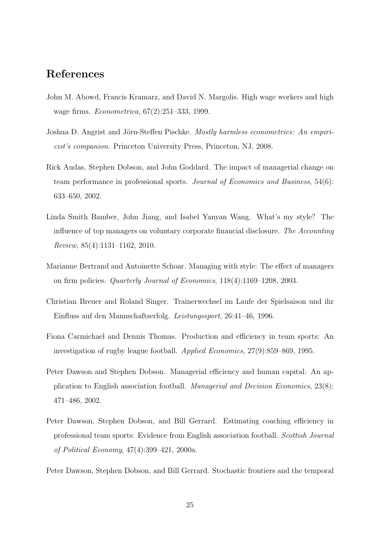### References

- John M. Abowd, Francis Kramarz, and David N. Margolis. High wage workers and high wage firms. Econometrica, 67(2):251–333, 1999.
- Joshua D. Angrist and Jörn-Steffen Pischke. Mostly harmless econometrics: An empiricist's companion. Princeton University Press, Princeton, NJ, 2008.
- Rick Audas, Stephen Dobson, and John Goddard. The impact of managerial change on team performance in professional sports. Journal of Economics and Business, 54(6): 633–650, 2002.
- Linda Smith Bamber, John Jiang, and Isabel Yanyan Wang. What's my style? The influence of top managers on voluntary corporate financial disclosure. The Accounting Review, 85(4):1131–1162, 2010.
- Marianne Bertrand and Antoinette Schoar. Managing with style: The effect of managers on firm policies. Quarterly Journal of Economics, 118(4):1169–1208, 2003.
- Christian Breuer and Roland Singer. Trainerwechsel im Laufe der Spielsaison und ihr Einfluss auf den Mannschaftserfolg. Leistungssport, 26:41–46, 1996.
- Fiona Carmichael and Dennis Thomas. Production and efficiency in team sports: An investigation of rugby league football. Applied Economics, 27(9):859–869, 1995.
- Peter Dawson and Stephen Dobson. Managerial efficiency and human capital: An application to English association football. Managerial and Decision Economics, 23(8): 471–486, 2002.
- Peter Dawson, Stephen Dobson, and Bill Gerrard. Estimating coaching efficiency in professional team sports: Evidence from English association football. Scottish Journal of Political Economy, 47(4):399–421, 2000a.
- Peter Dawson, Stephen Dobson, and Bill Gerrard. Stochastic frontiers and the temporal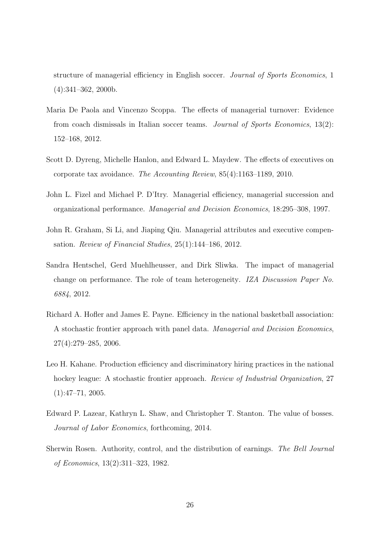structure of managerial efficiency in English soccer. Journal of Sports Economics, 1 (4):341–362, 2000b.

- Maria De Paola and Vincenzo Scoppa. The effects of managerial turnover: Evidence from coach dismissals in Italian soccer teams. Journal of Sports Economics, 13(2): 152–168, 2012.
- Scott D. Dyreng, Michelle Hanlon, and Edward L. Maydew. The effects of executives on corporate tax avoidance. The Accounting Review, 85(4):1163–1189, 2010.
- John L. Fizel and Michael P. D'Itry. Managerial efficiency, managerial succession and organizational performance. Managerial and Decision Economics, 18:295–308, 1997.
- John R. Graham, Si Li, and Jiaping Qiu. Managerial attributes and executive compensation. Review of Financial Studies, 25(1):144–186, 2012.
- Sandra Hentschel, Gerd Muehlheusser, and Dirk Sliwka. The impact of managerial change on performance. The role of team heterogeneity. IZA Discussion Paper No. 6884, 2012.
- Richard A. Hofler and James E. Payne. Efficiency in the national basketball association: A stochastic frontier approach with panel data. Managerial and Decision Economics, 27(4):279–285, 2006.
- Leo H. Kahane. Production efficiency and discriminatory hiring practices in the national hockey league: A stochastic frontier approach. *Review of Industrial Organization*, 27  $(1):47-71, 2005.$
- Edward P. Lazear, Kathryn L. Shaw, and Christopher T. Stanton. The value of bosses. Journal of Labor Economics, forthcoming, 2014.
- Sherwin Rosen. Authority, control, and the distribution of earnings. The Bell Journal of Economics, 13(2):311–323, 1982.